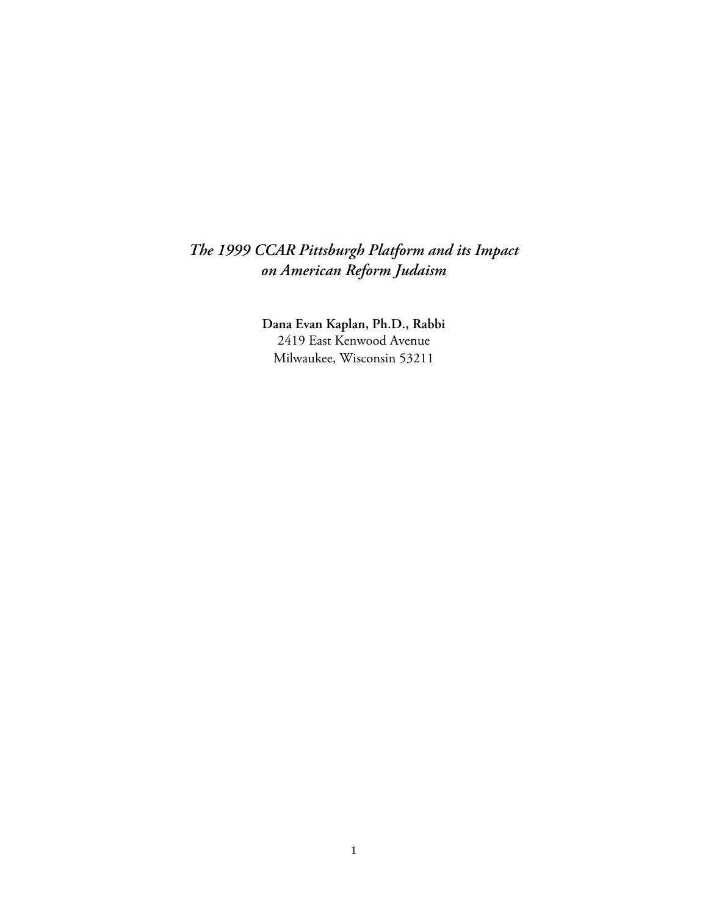# *The 1999 CCAR Pittsburgh Platform and its Impact on American Reform Judaism*

**Dana Evan Kaplan, Ph.D., Rabbi**  2419 East Kenwood Avenue Milwaukee, Wisconsin 53211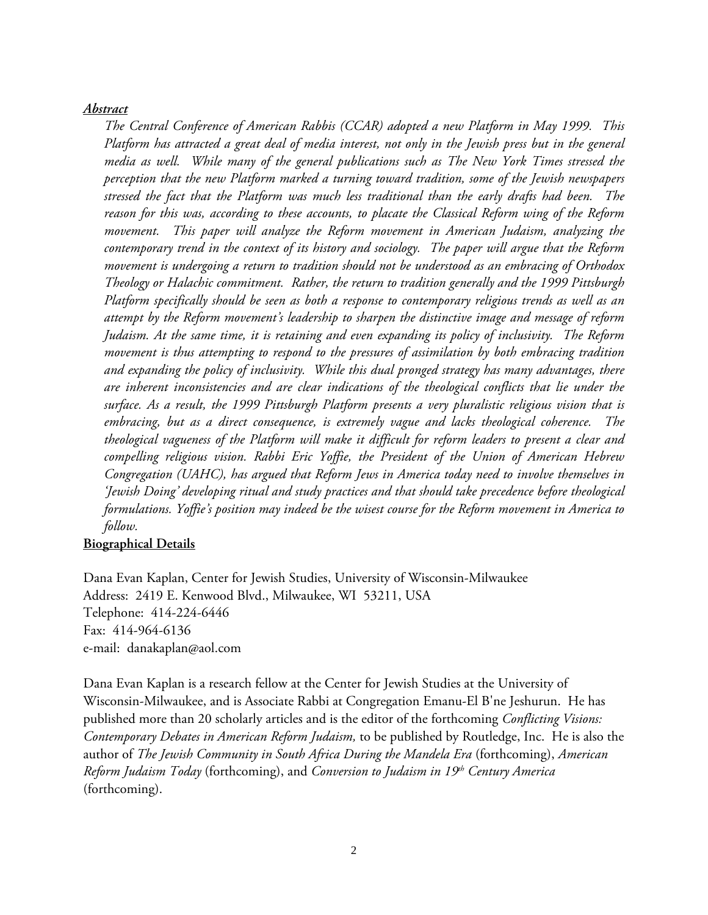## *Abstract*

*The Central Conference of American Rabbis (CCAR) adopted a new Platform in May 1999. This Platform has attracted a great deal of media interest, not only in the Jewish press but in the general media as well. While many of the general publications such as The New York Times stressed the perception that the new Platform marked a turning toward tradition, some of the Jewish newspapers stressed the fact that the Platform was much less traditional than the early drafts had been. The reason for this was, according to these accounts, to placate the Classical Reform wing of the Reform movement. This paper will analyze the Reform movement in American Judaism, analyzing the contemporary trend in the context of its history and sociology. The paper will argue that the Reform movement is undergoing a return to tradition should not be understood as an embracing of Orthodox Theology or Halachic commitment. Rather, the return to tradition generally and the 1999 Pittsburgh Platform specifically should be seen as both a response to contemporary religious trends as well as an attempt by the Reform movement's leadership to sharpen the distinctive image and message of reform Judaism. At the same time, it is retaining and even expanding its policy of inclusivity. The Reform movement is thus attempting to respond to the pressures of assimilation by both embracing tradition and expanding the policy of inclusivity. While this dual pronged strategy has many advantages, there are inherent inconsistencies and are clear indications of the theological conflicts that lie under the surface. As a result, the 1999 Pittsburgh Platform presents a very pluralistic religious vision that is embracing, but as a direct consequence, is extremely vague and lacks theological coherence. The theological vagueness of the Platform will make it difficult for reform leaders to present a clear and compelling religious vision. Rabbi Eric Yoffie, the President of the Union of American Hebrew Congregation (UAHC), has argued that Reform Jews in America today need to involve themselves in 'Jewish Doing' developing ritual and study practices and that should take precedence before theological formulations. Yoffie's position may indeed be the wisest course for the Reform movement in America to follow.* 

## **Biographical Details**

Dana Evan Kaplan, Center for Jewish Studies, University of Wisconsin-Milwaukee Address: 2419 E. Kenwood Blvd., Milwaukee, WI 53211, USA Telephone: 414-224-6446 Fax: 414-964-6136 e-mail: danakaplan@aol.com

Dana Evan Kaplan is a research fellow at the Center for Jewish Studies at the University of Wisconsin-Milwaukee, and is Associate Rabbi at Congregation Emanu-El B'ne Jeshurun. He has published more than 20 scholarly articles and is the editor of the forthcoming *Conflicting Visions: Contemporary Debates in American Reform Judaism,* to be published by Routledge, Inc. He is also the author of *The Jewish Community in South Africa During the Mandela Era* (forthcoming), *American Reform Judaism Today* (forthcoming), and *Conversion to Judaism in 19th Century America* (forthcoming).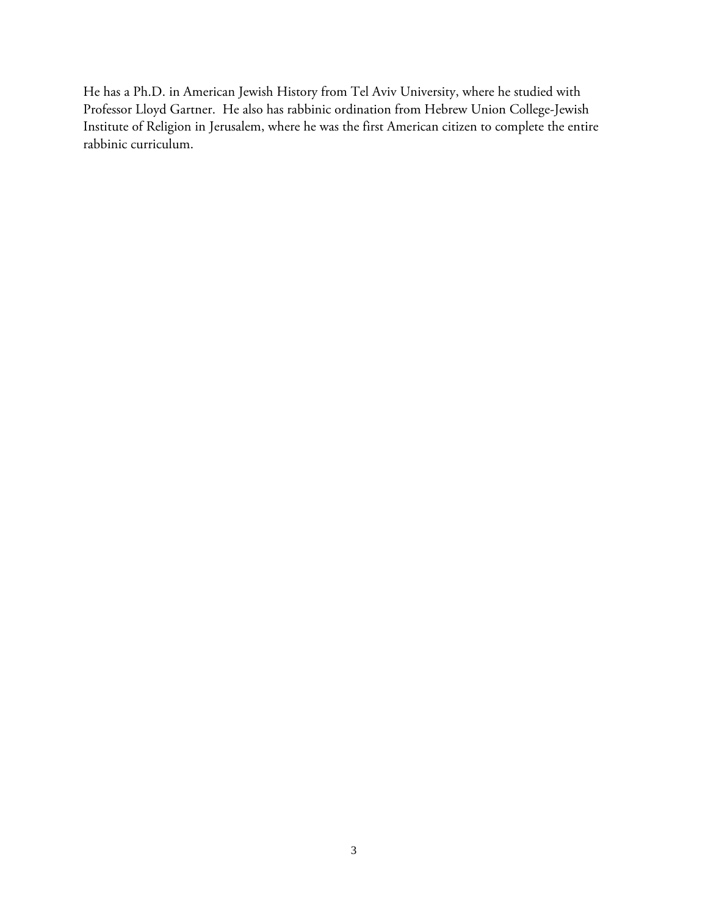He has a Ph.D. in American Jewish History from Tel Aviv University, where he studied with Professor Lloyd Gartner. He also has rabbinic ordination from Hebrew Union College-Jewish Institute of Religion in Jerusalem, where he was the first American citizen to complete the entire rabbinic curriculum.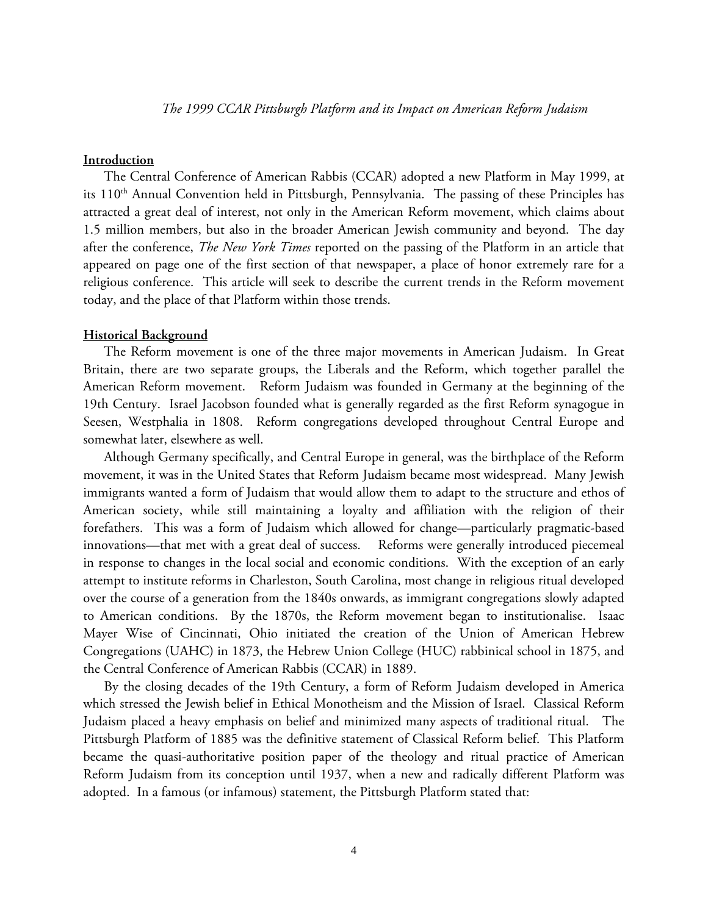## **Introduction**

The Central Conference of American Rabbis (CCAR) adopted a new Platform in May 1999, at its 110<sup>th</sup> Annual Convention held in Pittsburgh, Pennsylvania. The passing of these Principles has attracted a great deal of interest, not only in the American Reform movement, which claims about 1.5 million members, but also in the broader American Jewish community and beyond. The day after the conference, *The New York Times* reported on the passing of the Platform in an article that appeared on page one of the first section of that newspaper, a place of honor extremely rare for a religious conference. This article will seek to describe the current trends in the Reform movement today, and the place of that Platform within those trends.

#### **Historical Background**

The Reform movement is one of the three major movements in American Judaism. In Great Britain, there are two separate groups, the Liberals and the Reform, which together parallel the American Reform movement. Reform Judaism was founded in Germany at the beginning of the 19th Century. Israel Jacobson founded what is generally regarded as the first Reform synagogue in Seesen, Westphalia in 1808. Reform congregations developed throughout Central Europe and somewhat later, elsewhere as well.

Although Germany specifically, and Central Europe in general, was the birthplace of the Reform movement, it was in the United States that Reform Judaism became most widespread. Many Jewish immigrants wanted a form of Judaism that would allow them to adapt to the structure and ethos of American society, while still maintaining a loyalty and affiliation with the religion of their forefathers. This was a form of Judaism which allowed for change—particularly pragmatic-based innovations—that met with a great deal of success. Reforms were generally introduced piecemeal in response to changes in the local social and economic conditions. With the exception of an early attempt to institute reforms in Charleston, South Carolina, most change in religious ritual developed over the course of a generation from the 1840s onwards, as immigrant congregations slowly adapted to American conditions. By the 1870s, the Reform movement began to institutionalise. Isaac Mayer Wise of Cincinnati, Ohio initiated the creation of the Union of American Hebrew Congregations (UAHC) in 1873, the Hebrew Union College (HUC) rabbinical school in 1875, and the Central Conference of American Rabbis (CCAR) in 1889.

By the closing decades of the 19th Century, a form of Reform Judaism developed in America which stressed the Jewish belief in Ethical Monotheism and the Mission of Israel. Classical Reform Judaism placed a heavy emphasis on belief and minimized many aspects of traditional ritual. The Pittsburgh Platform of 1885 was the definitive statement of Classical Reform belief. This Platform became the quasi-authoritative position paper of the theology and ritual practice of American Reform Judaism from its conception until 1937, when a new and radically different Platform was adopted. In a famous (or infamous) statement, the Pittsburgh Platform stated that: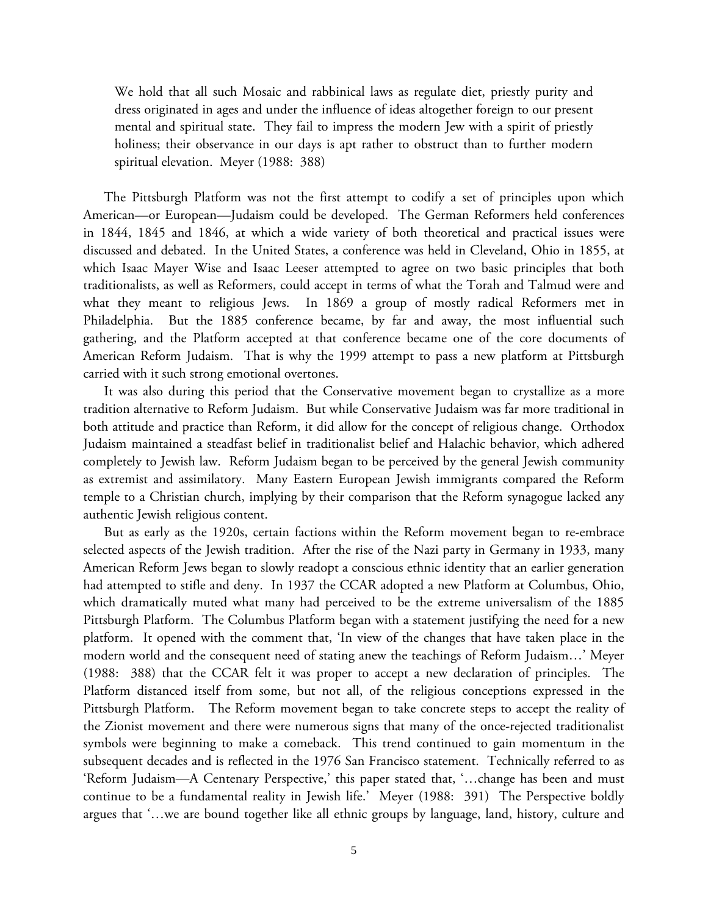We hold that all such Mosaic and rabbinical laws as regulate diet, priestly purity and dress originated in ages and under the influence of ideas altogether foreign to our present mental and spiritual state. They fail to impress the modern Jew with a spirit of priestly holiness; their observance in our days is apt rather to obstruct than to further modern spiritual elevation. Meyer (1988: 388)

The Pittsburgh Platform was not the first attempt to codify a set of principles upon which American—or European—Judaism could be developed. The German Reformers held conferences in 1844, 1845 and 1846, at which a wide variety of both theoretical and practical issues were discussed and debated. In the United States, a conference was held in Cleveland, Ohio in 1855, at which Isaac Mayer Wise and Isaac Leeser attempted to agree on two basic principles that both traditionalists, as well as Reformers, could accept in terms of what the Torah and Talmud were and what they meant to religious Jews. In 1869 a group of mostly radical Reformers met in Philadelphia. But the 1885 conference became, by far and away, the most influential such gathering, and the Platform accepted at that conference became one of the core documents of American Reform Judaism. That is why the 1999 attempt to pass a new platform at Pittsburgh carried with it such strong emotional overtones.

It was also during this period that the Conservative movement began to crystallize as a more tradition alternative to Reform Judaism. But while Conservative Judaism was far more traditional in both attitude and practice than Reform, it did allow for the concept of religious change. Orthodox Judaism maintained a steadfast belief in traditionalist belief and Halachic behavior, which adhered completely to Jewish law. Reform Judaism began to be perceived by the general Jewish community as extremist and assimilatory. Many Eastern European Jewish immigrants compared the Reform temple to a Christian church, implying by their comparison that the Reform synagogue lacked any authentic Jewish religious content.

But as early as the 1920s, certain factions within the Reform movement began to re-embrace selected aspects of the Jewish tradition. After the rise of the Nazi party in Germany in 1933, many American Reform Jews began to slowly readopt a conscious ethnic identity that an earlier generation had attempted to stifle and deny. In 1937 the CCAR adopted a new Platform at Columbus, Ohio, which dramatically muted what many had perceived to be the extreme universalism of the 1885 Pittsburgh Platform. The Columbus Platform began with a statement justifying the need for a new platform. It opened with the comment that, 'In view of the changes that have taken place in the modern world and the consequent need of stating anew the teachings of Reform Judaism…' Meyer (1988: 388) that the CCAR felt it was proper to accept a new declaration of principles. The Platform distanced itself from some, but not all, of the religious conceptions expressed in the Pittsburgh Platform. The Reform movement began to take concrete steps to accept the reality of the Zionist movement and there were numerous signs that many of the once-rejected traditionalist symbols were beginning to make a comeback. This trend continued to gain momentum in the subsequent decades and is reflected in the 1976 San Francisco statement. Technically referred to as 'Reform Judaism—A Centenary Perspective,' this paper stated that, '…change has been and must continue to be a fundamental reality in Jewish life.' Meyer (1988: 391) The Perspective boldly argues that '…we are bound together like all ethnic groups by language, land, history, culture and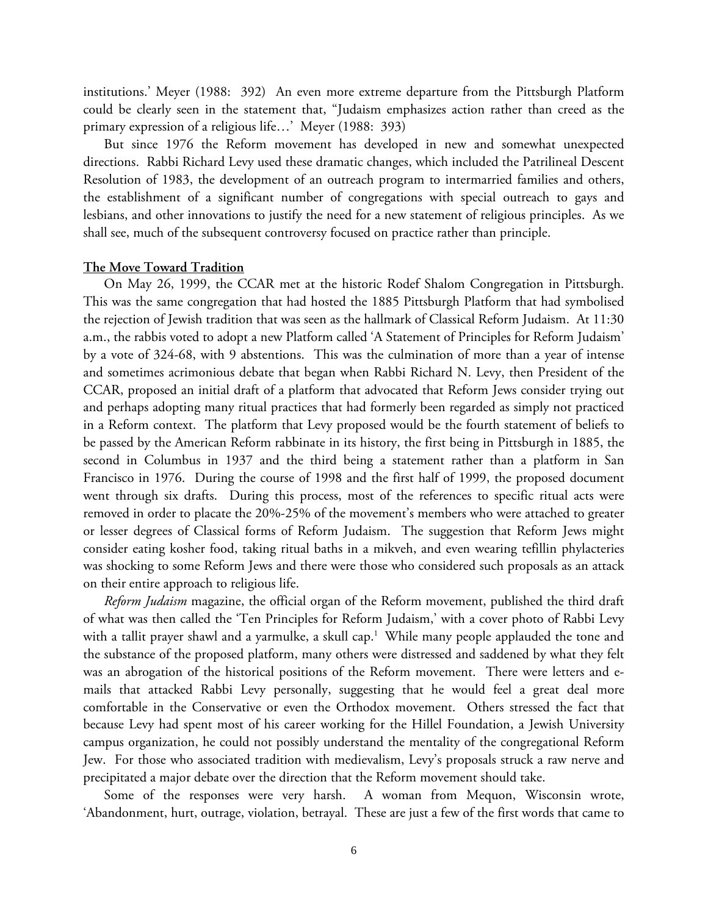institutions.' Meyer (1988: 392) An even more extreme departure from the Pittsburgh Platform could be clearly seen in the statement that, "Judaism emphasizes action rather than creed as the primary expression of a religious life…' Meyer (1988: 393)

But since 1976 the Reform movement has developed in new and somewhat unexpected directions. Rabbi Richard Levy used these dramatic changes, which included the Patrilineal Descent Resolution of 1983, the development of an outreach program to intermarried families and others, the establishment of a significant number of congregations with special outreach to gays and lesbians, and other innovations to justify the need for a new statement of religious principles. As we shall see, much of the subsequent controversy focused on practice rather than principle.

#### **The Move Toward Tradition**

On May 26, 1999, the CCAR met at the historic Rodef Shalom Congregation in Pittsburgh. This was the same congregation that had hosted the 1885 Pittsburgh Platform that had symbolised the rejection of Jewish tradition that was seen as the hallmark of Classical Reform Judaism. At 11:30 a.m., the rabbis voted to adopt a new Platform called 'A Statement of Principles for Reform Judaism' by a vote of 324-68, with 9 abstentions. This was the culmination of more than a year of intense and sometimes acrimonious debate that began when Rabbi Richard N. Levy, then President of the CCAR, proposed an initial draft of a platform that advocated that Reform Jews consider trying out and perhaps adopting many ritual practices that had formerly been regarded as simply not practiced in a Reform context. The platform that Levy proposed would be the fourth statement of beliefs to be passed by the American Reform rabbinate in its history, the first being in Pittsburgh in 1885, the second in Columbus in 1937 and the third being a statement rather than a platform in San Francisco in 1976. During the course of 1998 and the first half of 1999, the proposed document went through six drafts. During this process, most of the references to specific ritual acts were removed in order to placate the 20%-25% of the movement's members who were attached to greater or lesser degrees of Classical forms of Reform Judaism. The suggestion that Reform Jews might consider eating kosher food, taking ritual baths in a mikveh, and even wearing tefillin phylacteries was shocking to some Reform Jews and there were those who considered such proposals as an attack on their entire approach to religious life.

*Reform Judaism* magazine, the official organ of the Reform movement, published the third draft of what was then called the 'Ten Principles for Reform Judaism,' with a cover photo of Rabbi Levy with a tallit prayer shawl and a yarmulke, a skull cap.<sup>1</sup> While many people applauded the tone and the substance of the proposed platform, many others were distressed and saddened by what they felt was an abrogation of the historical positions of the Reform movement. There were letters and emails that attacked Rabbi Levy personally, suggesting that he would feel a great deal more comfortable in the Conservative or even the Orthodox movement. Others stressed the fact that because Levy had spent most of his career working for the Hillel Foundation, a Jewish University campus organization, he could not possibly understand the mentality of the congregational Reform Jew. For those who associated tradition with medievalism, Levy's proposals struck a raw nerve and precipitated a major debate over the direction that the Reform movement should take.

Some of the responses were very harsh. A woman from Mequon, Wisconsin wrote, 'Abandonment, hurt, outrage, violation, betrayal. These are just a few of the first words that came to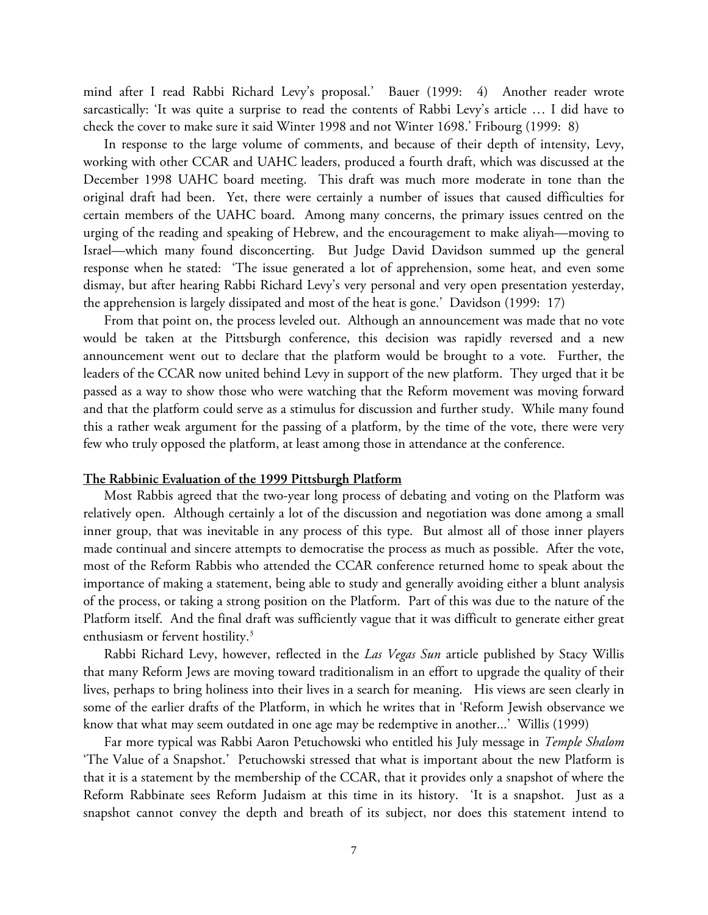mind after I read Rabbi Richard Levy's proposal.' Bauer (1999: 4) Another reader wrote sarcastically: 'It was quite a surprise to read the contents of Rabbi Levy's article … I did have to check the cover to make sure it said Winter 1998 and not Winter 1698.' Fribourg (1999: 8)

In response to the large volume of comments, and because of their depth of intensity, Levy, working with other CCAR and UAHC leaders, produced a fourth draft, which was discussed at the December 1998 UAHC board meeting. This draft was much more moderate in tone than the original draft had been. Yet, there were certainly a number of issues that caused difficulties for certain members of the UAHC board. Among many concerns, the primary issues centred on the urging of the reading and speaking of Hebrew, and the encouragement to make aliyah—moving to Israel—which many found disconcerting. But Judge David Davidson summed up the general response when he stated: 'The issue generated a lot of apprehension, some heat, and even some dismay, but after hearing Rabbi Richard Levy's very personal and very open presentation yesterday, the apprehension is largely dissipated and most of the heat is gone.' Davidson (1999: 17)

From that point on, the process leveled out. Although an announcement was made that no vote would be taken at the Pittsburgh conference, this decision was rapidly reversed and a new announcement went out to declare that the platform would be brought to a vote. Further, the leaders of the CCAR now united behind Levy in support of the new platform. They urged that it be passed as a way to show those who were watching that the Reform movement was moving forward and that the platform could serve as a stimulus for discussion and further study. While many found this a rather weak argument for the passing of a platform, by the time of the vote, there were very few who truly opposed the platform, at least among those in attendance at the conference.

#### **The Rabbinic Evaluation of the 1999 Pittsburgh Platform**

Most Rabbis agreed that the two-year long process of debating and voting on the Platform was relatively open. Although certainly a lot of the discussion and negotiation was done among a small inner group, that was inevitable in any process of this type. But almost all of those inner players made continual and sincere attempts to democratise the process as much as possible. After the vote, most of the Reform Rabbis who attended the CCAR conference returned home to speak about the importance of making a statement, being able to study and generally avoiding either a blunt analysis of the process, or taking a strong position on the Platform. Part of this was due to the nature of the Platform itself. And the final draft was sufficiently vague that it was difficult to generate either great enthusiasm or fervent hostility.<sup>3</sup>

Rabbi Richard Levy, however, reflected in the *Las Vegas Sun* article published by Stacy Willis that many Reform Jews are moving toward traditionalism in an effort to upgrade the quality of their lives, perhaps to bring holiness into their lives in a search for meaning. His views are seen clearly in some of the earlier drafts of the Platform, in which he writes that in 'Reform Jewish observance we know that what may seem outdated in one age may be redemptive in another...' Willis (1999)

Far more typical was Rabbi Aaron Petuchowski who entitled his July message in *Temple Shalom* 'The Value of a Snapshot.' Petuchowski stressed that what is important about the new Platform is that it is a statement by the membership of the CCAR, that it provides only a snapshot of where the Reform Rabbinate sees Reform Judaism at this time in its history. 'It is a snapshot. Just as a snapshot cannot convey the depth and breath of its subject, nor does this statement intend to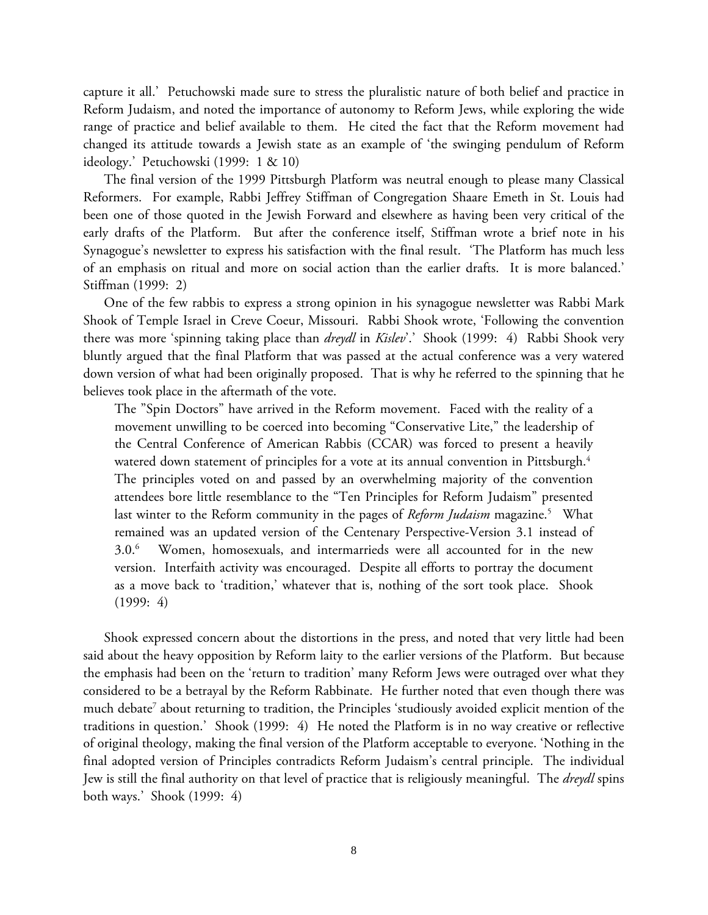capture it all.' Petuchowski made sure to stress the pluralistic nature of both belief and practice in Reform Judaism, and noted the importance of autonomy to Reform Jews, while exploring the wide range of practice and belief available to them. He cited the fact that the Reform movement had changed its attitude towards a Jewish state as an example of 'the swinging pendulum of Reform ideology.' Petuchowski (1999: 1 & 10)

The final version of the 1999 Pittsburgh Platform was neutral enough to please many Classical Reformers. For example, Rabbi Jeffrey Stiffman of Congregation Shaare Emeth in St. Louis had been one of those quoted in the Jewish Forward and elsewhere as having been very critical of the early drafts of the Platform. But after the conference itself, Stiffman wrote a brief note in his Synagogue's newsletter to express his satisfaction with the final result. 'The Platform has much less of an emphasis on ritual and more on social action than the earlier drafts. It is more balanced.' Stiffman (1999: 2)

One of the few rabbis to express a strong opinion in his synagogue newsletter was Rabbi Mark Shook of Temple Israel in Creve Coeur, Missouri. Rabbi Shook wrote, 'Following the convention there was more 'spinning taking place than *dreydl* in *Kislev*'.' Shook (1999: 4) Rabbi Shook very bluntly argued that the final Platform that was passed at the actual conference was a very watered down version of what had been originally proposed. That is why he referred to the spinning that he believes took place in the aftermath of the vote.

The "Spin Doctors" have arrived in the Reform movement. Faced with the reality of a movement unwilling to be coerced into becoming "Conservative Lite," the leadership of the Central Conference of American Rabbis (CCAR) was forced to present a heavily watered down statement of principles for a vote at its annual convention in Pittsburgh.<sup>4</sup> The principles voted on and passed by an overwhelming majority of the convention attendees bore little resemblance to the "Ten Principles for Reform Judaism" presented last winter to the Reform community in the pages of *Reform Judaism* magazine.<sup>5</sup> What remained was an updated version of the Centenary Perspective-Version 3.1 instead of 3.0.6 Women, homosexuals, and intermarrieds were all accounted for in the new version. Interfaith activity was encouraged. Despite all efforts to portray the document as a move back to 'tradition,' whatever that is, nothing of the sort took place. Shook (1999: 4)

Shook expressed concern about the distortions in the press, and noted that very little had been said about the heavy opposition by Reform laity to the earlier versions of the Platform. But because the emphasis had been on the 'return to tradition' many Reform Jews were outraged over what they considered to be a betrayal by the Reform Rabbinate. He further noted that even though there was much debate<sup>7</sup> about returning to tradition, the Principles 'studiously avoided explicit mention of the traditions in question.' Shook (1999: 4) He noted the Platform is in no way creative or reflective of original theology, making the final version of the Platform acceptable to everyone. 'Nothing in the final adopted version of Principles contradicts Reform Judaism's central principle. The individual Jew is still the final authority on that level of practice that is religiously meaningful. The *dreydl* spins both ways.' Shook (1999: 4)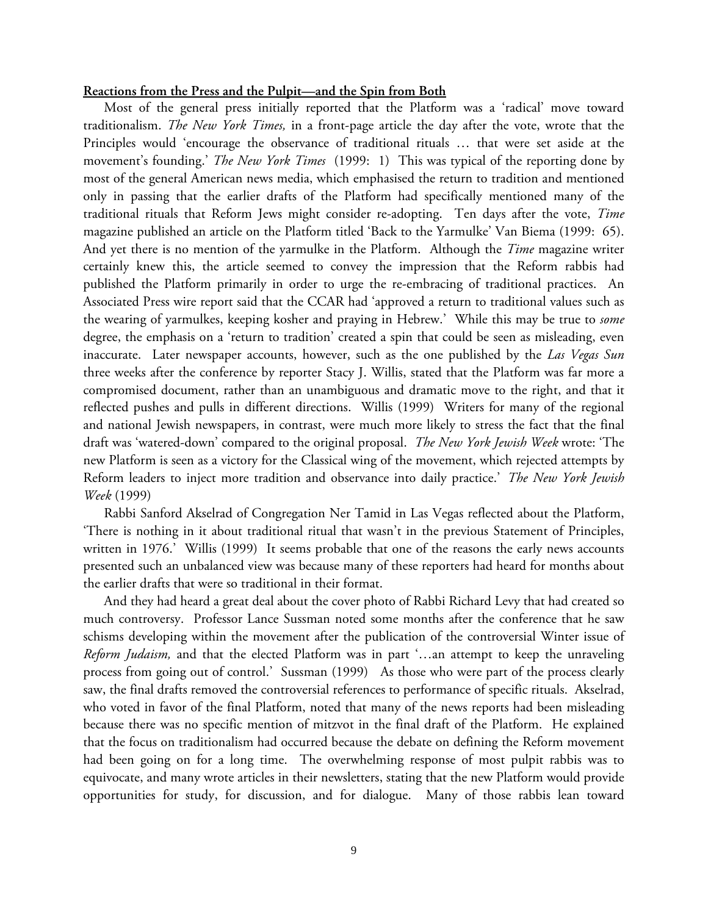#### **Reactions from the Press and the Pulpit—and the Spin from Both**

Most of the general press initially reported that the Platform was a 'radical' move toward traditionalism. *The New York Times,* in a front-page article the day after the vote, wrote that the Principles would 'encourage the observance of traditional rituals … that were set aside at the movement's founding.' *The New York Times* (1999: 1) This was typical of the reporting done by most of the general American news media, which emphasised the return to tradition and mentioned only in passing that the earlier drafts of the Platform had specifically mentioned many of the traditional rituals that Reform Jews might consider re-adopting. Ten days after the vote, *Time* magazine published an article on the Platform titled 'Back to the Yarmulke' Van Biema (1999: 65). And yet there is no mention of the yarmulke in the Platform. Although the *Time* magazine writer certainly knew this, the article seemed to convey the impression that the Reform rabbis had published the Platform primarily in order to urge the re-embracing of traditional practices. An Associated Press wire report said that the CCAR had 'approved a return to traditional values such as the wearing of yarmulkes, keeping kosher and praying in Hebrew.' While this may be true to *some* degree, the emphasis on a 'return to tradition' created a spin that could be seen as misleading, even inaccurate. Later newspaper accounts, however, such as the one published by the *Las Vegas Sun* three weeks after the conference by reporter Stacy J. Willis, stated that the Platform was far more a compromised document, rather than an unambiguous and dramatic move to the right, and that it reflected pushes and pulls in different directions. Willis (1999) Writers for many of the regional and national Jewish newspapers, in contrast, were much more likely to stress the fact that the final draft was 'watered-down' compared to the original proposal. *The New York Jewish Week* wrote: 'The new Platform is seen as a victory for the Classical wing of the movement, which rejected attempts by Reform leaders to inject more tradition and observance into daily practice.' *The New York Jewish Week* (1999)

Rabbi Sanford Akselrad of Congregation Ner Tamid in Las Vegas reflected about the Platform, 'There is nothing in it about traditional ritual that wasn't in the previous Statement of Principles, written in 1976.' Willis (1999) It seems probable that one of the reasons the early news accounts presented such an unbalanced view was because many of these reporters had heard for months about the earlier drafts that were so traditional in their format.

And they had heard a great deal about the cover photo of Rabbi Richard Levy that had created so much controversy. Professor Lance Sussman noted some months after the conference that he saw schisms developing within the movement after the publication of the controversial Winter issue of *Reform Judaism,* and that the elected Platform was in part '…an attempt to keep the unraveling process from going out of control.' Sussman (1999) As those who were part of the process clearly saw, the final drafts removed the controversial references to performance of specific rituals. Akselrad, who voted in favor of the final Platform, noted that many of the news reports had been misleading because there was no specific mention of mitzvot in the final draft of the Platform. He explained that the focus on traditionalism had occurred because the debate on defining the Reform movement had been going on for a long time. The overwhelming response of most pulpit rabbis was to equivocate, and many wrote articles in their newsletters, stating that the new Platform would provide opportunities for study, for discussion, and for dialogue. Many of those rabbis lean toward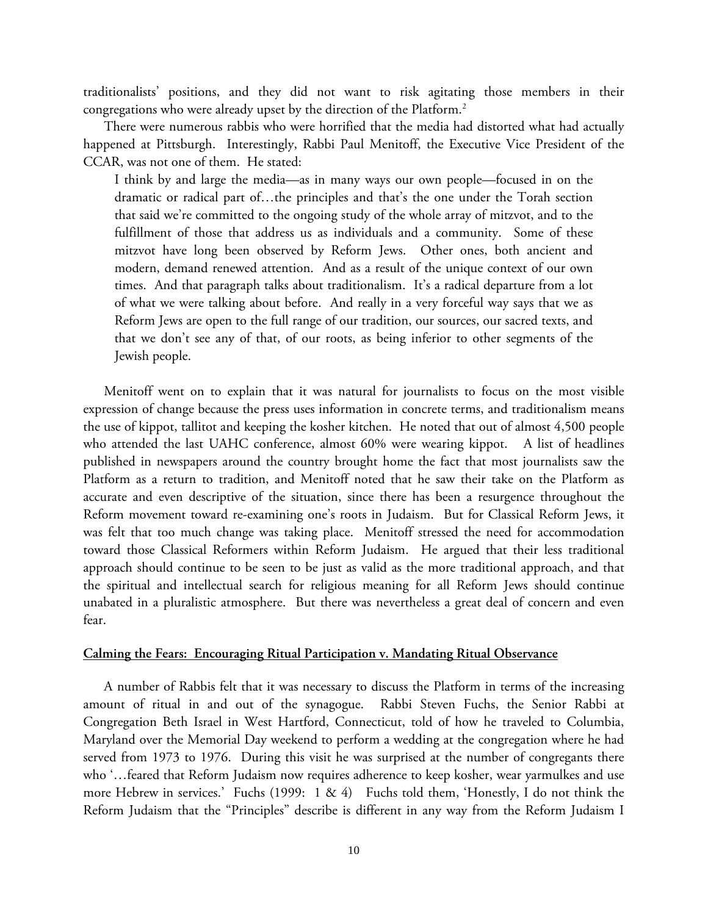traditionalists' positions, and they did not want to risk agitating those members in their congregations who were already upset by the direction of the Platform.2

There were numerous rabbis who were horrified that the media had distorted what had actually happened at Pittsburgh. Interestingly, Rabbi Paul Menitoff, the Executive Vice President of the CCAR, was not one of them. He stated:

I think by and large the media—as in many ways our own people—focused in on the dramatic or radical part of…the principles and that's the one under the Torah section that said we're committed to the ongoing study of the whole array of mitzvot, and to the fulfillment of those that address us as individuals and a community. Some of these mitzvot have long been observed by Reform Jews. Other ones, both ancient and modern, demand renewed attention. And as a result of the unique context of our own times. And that paragraph talks about traditionalism. It's a radical departure from a lot of what we were talking about before. And really in a very forceful way says that we as Reform Jews are open to the full range of our tradition, our sources, our sacred texts, and that we don't see any of that, of our roots, as being inferior to other segments of the Jewish people.

Menitoff went on to explain that it was natural for journalists to focus on the most visible expression of change because the press uses information in concrete terms, and traditionalism means the use of kippot, tallitot and keeping the kosher kitchen. He noted that out of almost 4,500 people who attended the last UAHC conference, almost 60% were wearing kippot. A list of headlines published in newspapers around the country brought home the fact that most journalists saw the Platform as a return to tradition, and Menitoff noted that he saw their take on the Platform as accurate and even descriptive of the situation, since there has been a resurgence throughout the Reform movement toward re-examining one's roots in Judaism. But for Classical Reform Jews, it was felt that too much change was taking place. Menitoff stressed the need for accommodation toward those Classical Reformers within Reform Judaism. He argued that their less traditional approach should continue to be seen to be just as valid as the more traditional approach, and that the spiritual and intellectual search for religious meaning for all Reform Jews should continue unabated in a pluralistic atmosphere. But there was nevertheless a great deal of concern and even fear.

## **Calming the Fears: Encouraging Ritual Participation v. Mandating Ritual Observance**

A number of Rabbis felt that it was necessary to discuss the Platform in terms of the increasing amount of ritual in and out of the synagogue. Rabbi Steven Fuchs, the Senior Rabbi at Congregation Beth Israel in West Hartford, Connecticut, told of how he traveled to Columbia, Maryland over the Memorial Day weekend to perform a wedding at the congregation where he had served from 1973 to 1976. During this visit he was surprised at the number of congregants there who '…feared that Reform Judaism now requires adherence to keep kosher, wear yarmulkes and use more Hebrew in services.' Fuchs (1999: 1 & 4) Fuchs told them, 'Honestly, I do not think the Reform Judaism that the "Principles" describe is different in any way from the Reform Judaism I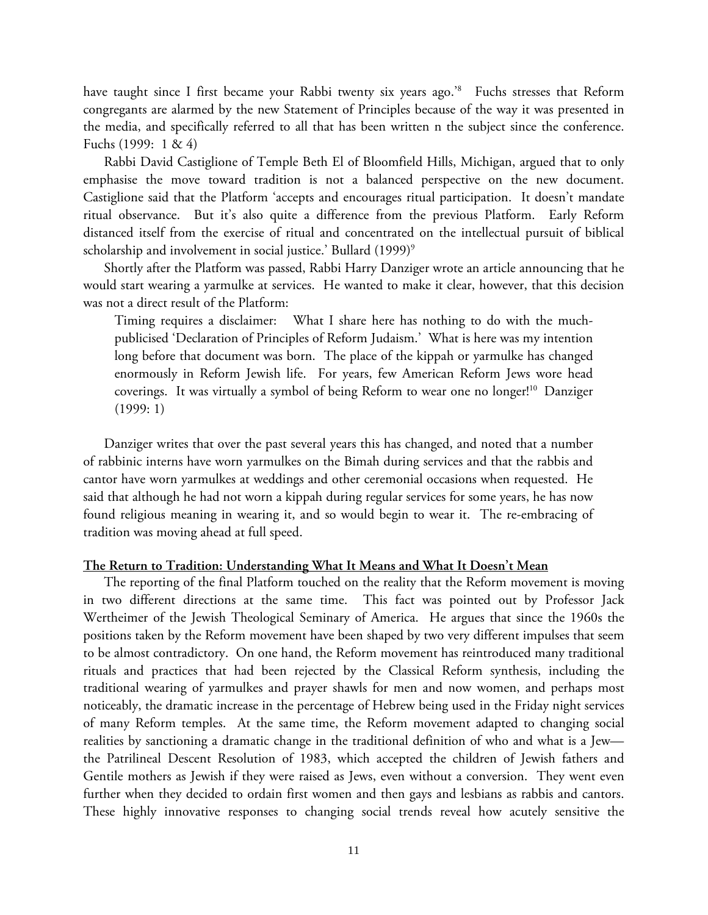have taught since I first became your Rabbi twenty six years ago.<sup>'8</sup> Fuchs stresses that Reform congregants are alarmed by the new Statement of Principles because of the way it was presented in the media, and specifically referred to all that has been written n the subject since the conference. Fuchs (1999: 1 & 4)

Rabbi David Castiglione of Temple Beth El of Bloomfield Hills, Michigan, argued that to only emphasise the move toward tradition is not a balanced perspective on the new document. Castiglione said that the Platform 'accepts and encourages ritual participation. It doesn't mandate ritual observance. But it's also quite a difference from the previous Platform. Early Reform distanced itself from the exercise of ritual and concentrated on the intellectual pursuit of biblical scholarship and involvement in social justice.' Bullard (1999)<sup>9</sup>

Shortly after the Platform was passed, Rabbi Harry Danziger wrote an article announcing that he would start wearing a yarmulke at services. He wanted to make it clear, however, that this decision was not a direct result of the Platform:

Timing requires a disclaimer: What I share here has nothing to do with the muchpublicised 'Declaration of Principles of Reform Judaism.' What is here was my intention long before that document was born. The place of the kippah or yarmulke has changed enormously in Reform Jewish life. For years, few American Reform Jews wore head coverings. It was virtually a symbol of being Reform to wear one no longer!<sup>10</sup> Danziger (1999: 1)

Danziger writes that over the past several years this has changed, and noted that a number of rabbinic interns have worn yarmulkes on the Bimah during services and that the rabbis and cantor have worn yarmulkes at weddings and other ceremonial occasions when requested. He said that although he had not worn a kippah during regular services for some years, he has now found religious meaning in wearing it, and so would begin to wear it. The re-embracing of tradition was moving ahead at full speed.

## **The Return to Tradition: Understanding What It Means and What It Doesn't Mean**

The reporting of the final Platform touched on the reality that the Reform movement is moving in two different directions at the same time. This fact was pointed out by Professor Jack Wertheimer of the Jewish Theological Seminary of America. He argues that since the 1960s the positions taken by the Reform movement have been shaped by two very different impulses that seem to be almost contradictory. On one hand, the Reform movement has reintroduced many traditional rituals and practices that had been rejected by the Classical Reform synthesis, including the traditional wearing of yarmulkes and prayer shawls for men and now women, and perhaps most noticeably, the dramatic increase in the percentage of Hebrew being used in the Friday night services of many Reform temples. At the same time, the Reform movement adapted to changing social realities by sanctioning a dramatic change in the traditional definition of who and what is a Jew the Patrilineal Descent Resolution of 1983, which accepted the children of Jewish fathers and Gentile mothers as Jewish if they were raised as Jews, even without a conversion. They went even further when they decided to ordain first women and then gays and lesbians as rabbis and cantors. These highly innovative responses to changing social trends reveal how acutely sensitive the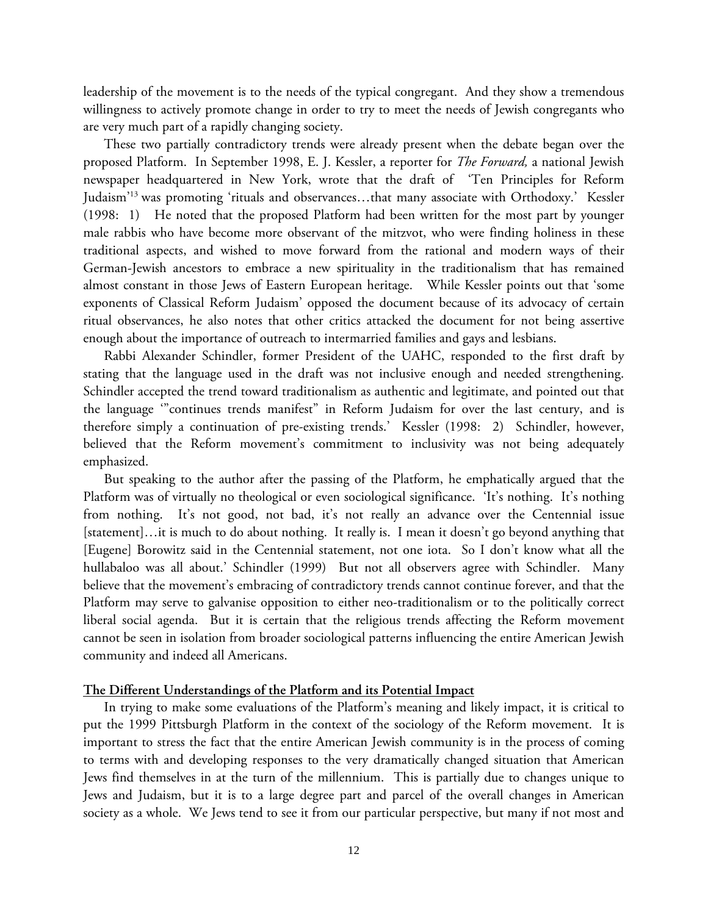leadership of the movement is to the needs of the typical congregant. And they show a tremendous willingness to actively promote change in order to try to meet the needs of Jewish congregants who are very much part of a rapidly changing society.

These two partially contradictory trends were already present when the debate began over the proposed Platform. In September 1998, E. J. Kessler, a reporter for *The Forward,* a national Jewish newspaper headquartered in New York, wrote that the draft of 'Ten Principles for Reform Judaism'13 was promoting 'rituals and observances…that many associate with Orthodoxy.' Kessler (1998: 1) He noted that the proposed Platform had been written for the most part by younger male rabbis who have become more observant of the mitzvot, who were finding holiness in these traditional aspects, and wished to move forward from the rational and modern ways of their German-Jewish ancestors to embrace a new spirituality in the traditionalism that has remained almost constant in those Jews of Eastern European heritage. While Kessler points out that 'some exponents of Classical Reform Judaism' opposed the document because of its advocacy of certain ritual observances, he also notes that other critics attacked the document for not being assertive enough about the importance of outreach to intermarried families and gays and lesbians.

Rabbi Alexander Schindler, former President of the UAHC, responded to the first draft by stating that the language used in the draft was not inclusive enough and needed strengthening. Schindler accepted the trend toward traditionalism as authentic and legitimate, and pointed out that the language '"continues trends manifest" in Reform Judaism for over the last century, and is therefore simply a continuation of pre-existing trends.' Kessler (1998: 2) Schindler, however, believed that the Reform movement's commitment to inclusivity was not being adequately emphasized.

But speaking to the author after the passing of the Platform, he emphatically argued that the Platform was of virtually no theological or even sociological significance. 'It's nothing. It's nothing from nothing. It's not good, not bad, it's not really an advance over the Centennial issue [statement]…it is much to do about nothing. It really is. I mean it doesn't go beyond anything that [Eugene] Borowitz said in the Centennial statement, not one iota. So I don't know what all the hullabaloo was all about.' Schindler (1999) But not all observers agree with Schindler. Many believe that the movement's embracing of contradictory trends cannot continue forever, and that the Platform may serve to galvanise opposition to either neo-traditionalism or to the politically correct liberal social agenda. But it is certain that the religious trends affecting the Reform movement cannot be seen in isolation from broader sociological patterns influencing the entire American Jewish community and indeed all Americans.

## **The Different Understandings of the Platform and its Potential Impact**

In trying to make some evaluations of the Platform's meaning and likely impact, it is critical to put the 1999 Pittsburgh Platform in the context of the sociology of the Reform movement. It is important to stress the fact that the entire American Jewish community is in the process of coming to terms with and developing responses to the very dramatically changed situation that American Jews find themselves in at the turn of the millennium. This is partially due to changes unique to Jews and Judaism, but it is to a large degree part and parcel of the overall changes in American society as a whole. We Jews tend to see it from our particular perspective, but many if not most and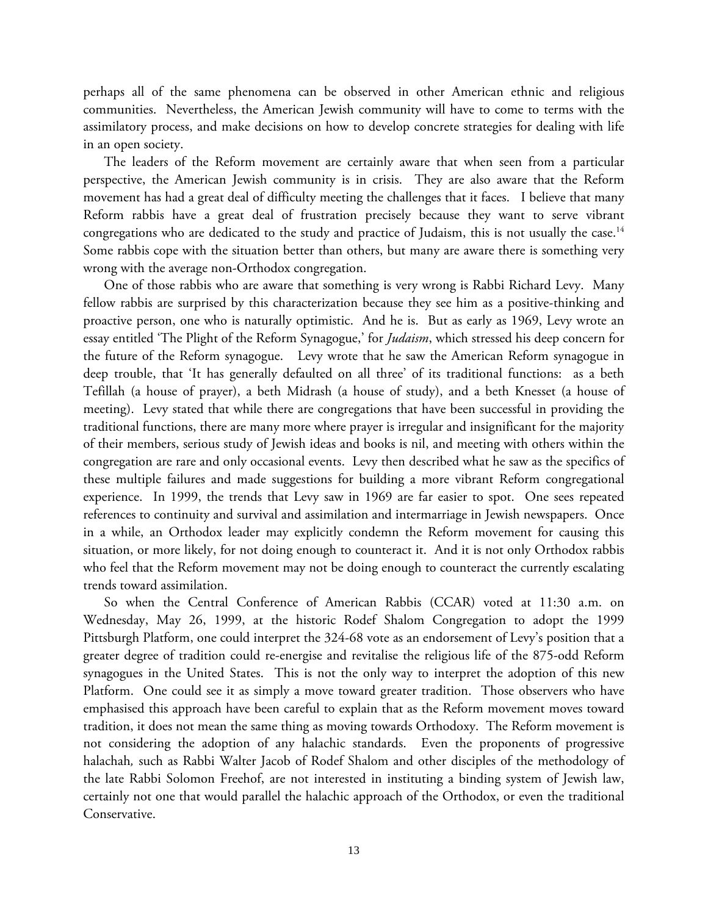perhaps all of the same phenomena can be observed in other American ethnic and religious communities. Nevertheless, the American Jewish community will have to come to terms with the assimilatory process, and make decisions on how to develop concrete strategies for dealing with life in an open society.

The leaders of the Reform movement are certainly aware that when seen from a particular perspective, the American Jewish community is in crisis. They are also aware that the Reform movement has had a great deal of difficulty meeting the challenges that it faces. I believe that many Reform rabbis have a great deal of frustration precisely because they want to serve vibrant congregations who are dedicated to the study and practice of Judaism, this is not usually the case.<sup>14</sup> Some rabbis cope with the situation better than others, but many are aware there is something very wrong with the average non-Orthodox congregation.

One of those rabbis who are aware that something is very wrong is Rabbi Richard Levy. Many fellow rabbis are surprised by this characterization because they see him as a positive-thinking and proactive person, one who is naturally optimistic. And he is. But as early as 1969, Levy wrote an essay entitled 'The Plight of the Reform Synagogue,' for *Judaism*, which stressed his deep concern for the future of the Reform synagogue. Levy wrote that he saw the American Reform synagogue in deep trouble, that 'It has generally defaulted on all three' of its traditional functions: as a beth Tefillah (a house of prayer), a beth Midrash (a house of study), and a beth Knesset (a house of meeting). Levy stated that while there are congregations that have been successful in providing the traditional functions, there are many more where prayer is irregular and insignificant for the majority of their members, serious study of Jewish ideas and books is nil, and meeting with others within the congregation are rare and only occasional events. Levy then described what he saw as the specifics of these multiple failures and made suggestions for building a more vibrant Reform congregational experience. In 1999, the trends that Levy saw in 1969 are far easier to spot. One sees repeated references to continuity and survival and assimilation and intermarriage in Jewish newspapers. Once in a while, an Orthodox leader may explicitly condemn the Reform movement for causing this situation, or more likely, for not doing enough to counteract it. And it is not only Orthodox rabbis who feel that the Reform movement may not be doing enough to counteract the currently escalating trends toward assimilation.

So when the Central Conference of American Rabbis (CCAR) voted at 11:30 a.m. on Wednesday, May 26, 1999, at the historic Rodef Shalom Congregation to adopt the 1999 Pittsburgh Platform, one could interpret the 324-68 vote as an endorsement of Levy's position that a greater degree of tradition could re-energise and revitalise the religious life of the 875-odd Reform synagogues in the United States. This is not the only way to interpret the adoption of this new Platform. One could see it as simply a move toward greater tradition. Those observers who have emphasised this approach have been careful to explain that as the Reform movement moves toward tradition, it does not mean the same thing as moving towards Orthodoxy. The Reform movement is not considering the adoption of any halachic standards. Even the proponents of progressive halachah*,* such as Rabbi Walter Jacob of Rodef Shalom and other disciples of the methodology of the late Rabbi Solomon Freehof, are not interested in instituting a binding system of Jewish law, certainly not one that would parallel the halachic approach of the Orthodox, or even the traditional Conservative.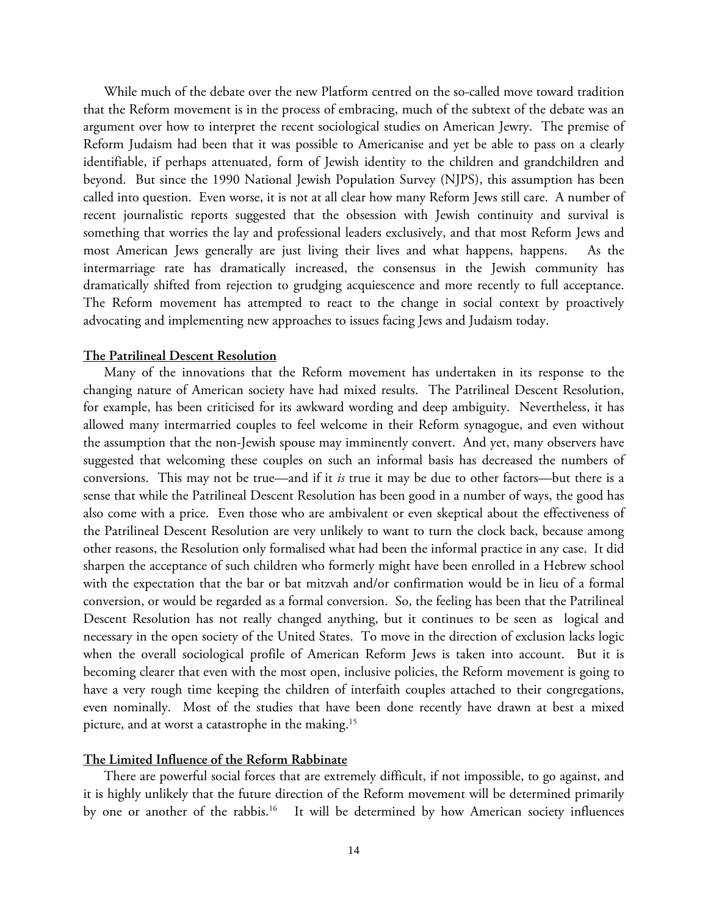While much of the debate over the new Platform centred on the so-called move toward tradition that the Reform movement is in the process of embracing, much of the subtext of the debate was an argument over how to interpret the recent sociological studies on American Jewry. The premise of Reform Judaism had been that it was possible to Americanise and yet be able to pass on a clearly identifiable, if perhaps attenuated, form of Jewish identity to the children and grandchildren and beyond. But since the 1990 National Jewish Population Survey (NJPS), this assumption has been called into question. Even worse, it is not at all clear how many Reform Jews still care. A number of recent journalistic reports suggested that the obsession with Jewish continuity and survival is something that worries the lay and professional leaders exclusively, and that most Reform Jews and most American Jews generally are just living their lives and what happens, happens. As the intermarriage rate has dramatically increased, the consensus in the Jewish community has dramatically shifted from rejection to grudging acquiescence and more recently to full acceptance. The Reform movement has attempted to react to the change in social context by proactively advocating and implementing new approaches to issues facing Jews and Judaism today.

## **The Patrilineal Descent Resolution**

Many of the innovations that the Reform movement has undertaken in its response to the changing nature of American society have had mixed results. The Patrilineal Descent Resolution, for example, has been criticised for its awkward wording and deep ambiguity. Nevertheless, it has allowed many intermarried couples to feel welcome in their Reform synagogue, and even without the assumption that the non-Jewish spouse may imminently convert. And yet, many observers have suggested that welcoming these couples on such an informal basis has decreased the numbers of conversions. This may not be true—and if it *is* true it may be due to other factors—but there is a sense that while the Patrilineal Descent Resolution has been good in a number of ways, the good has also come with a price. Even those who are ambivalent or even skeptical about the effectiveness of the Patrilineal Descent Resolution are very unlikely to want to turn the clock back, because among other reasons, the Resolution only formalised what had been the informal practice in any case. It did sharpen the acceptance of such children who formerly might have been enrolled in a Hebrew school with the expectation that the bar or bat mitzvah and/or confirmation would be in lieu of a formal conversion, or would be regarded as a formal conversion. So, the feeling has been that the Patrilineal Descent Resolution has not really changed anything, but it continues to be seen as logical and necessary in the open society of the United States. To move in the direction of exclusion lacks logic when the overall sociological profile of American Reform Jews is taken into account. But it is becoming clearer that even with the most open, inclusive policies, the Reform movement is going to have a very rough time keeping the children of interfaith couples attached to their congregations, even nominally. Most of the studies that have been done recently have drawn at best a mixed picture, and at worst a catastrophe in the making.15

## **The Limited Influence of the Reform Rabbinate**

There are powerful social forces that are extremely difficult, if not impossible, to go against, and it is highly unlikely that the future direction of the Reform movement will be determined primarily by one or another of the rabbis.<sup>16</sup> It will be determined by how American society influences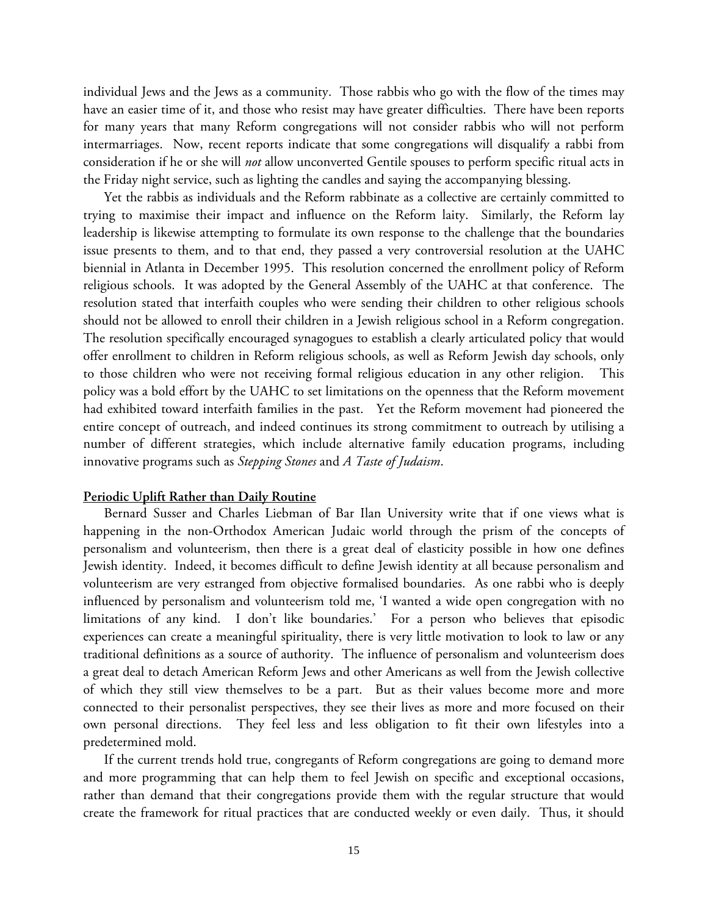individual Jews and the Jews as a community. Those rabbis who go with the flow of the times may have an easier time of it, and those who resist may have greater difficulties. There have been reports for many years that many Reform congregations will not consider rabbis who will not perform intermarriages. Now, recent reports indicate that some congregations will disqualify a rabbi from consideration if he or she will *not* allow unconverted Gentile spouses to perform specific ritual acts in the Friday night service, such as lighting the candles and saying the accompanying blessing.

Yet the rabbis as individuals and the Reform rabbinate as a collective are certainly committed to trying to maximise their impact and influence on the Reform laity. Similarly, the Reform lay leadership is likewise attempting to formulate its own response to the challenge that the boundaries issue presents to them, and to that end, they passed a very controversial resolution at the UAHC biennial in Atlanta in December 1995. This resolution concerned the enrollment policy of Reform religious schools. It was adopted by the General Assembly of the UAHC at that conference. The resolution stated that interfaith couples who were sending their children to other religious schools should not be allowed to enroll their children in a Jewish religious school in a Reform congregation. The resolution specifically encouraged synagogues to establish a clearly articulated policy that would offer enrollment to children in Reform religious schools, as well as Reform Jewish day schools, only to those children who were not receiving formal religious education in any other religion. This policy was a bold effort by the UAHC to set limitations on the openness that the Reform movement had exhibited toward interfaith families in the past. Yet the Reform movement had pioneered the entire concept of outreach, and indeed continues its strong commitment to outreach by utilising a number of different strategies, which include alternative family education programs, including innovative programs such as *Stepping Stones* and *A Taste of Judaism*.

#### **Periodic Uplift Rather than Daily Routine**

Bernard Susser and Charles Liebman of Bar Ilan University write that if one views what is happening in the non-Orthodox American Judaic world through the prism of the concepts of personalism and volunteerism, then there is a great deal of elasticity possible in how one defines Jewish identity. Indeed, it becomes difficult to define Jewish identity at all because personalism and volunteerism are very estranged from objective formalised boundaries. As one rabbi who is deeply influenced by personalism and volunteerism told me, 'I wanted a wide open congregation with no limitations of any kind. I don't like boundaries.' For a person who believes that episodic experiences can create a meaningful spirituality, there is very little motivation to look to law or any traditional definitions as a source of authority. The influence of personalism and volunteerism does a great deal to detach American Reform Jews and other Americans as well from the Jewish collective of which they still view themselves to be a part. But as their values become more and more connected to their personalist perspectives, they see their lives as more and more focused on their own personal directions. They feel less and less obligation to fit their own lifestyles into a predetermined mold.

If the current trends hold true, congregants of Reform congregations are going to demand more and more programming that can help them to feel Jewish on specific and exceptional occasions, rather than demand that their congregations provide them with the regular structure that would create the framework for ritual practices that are conducted weekly or even daily. Thus, it should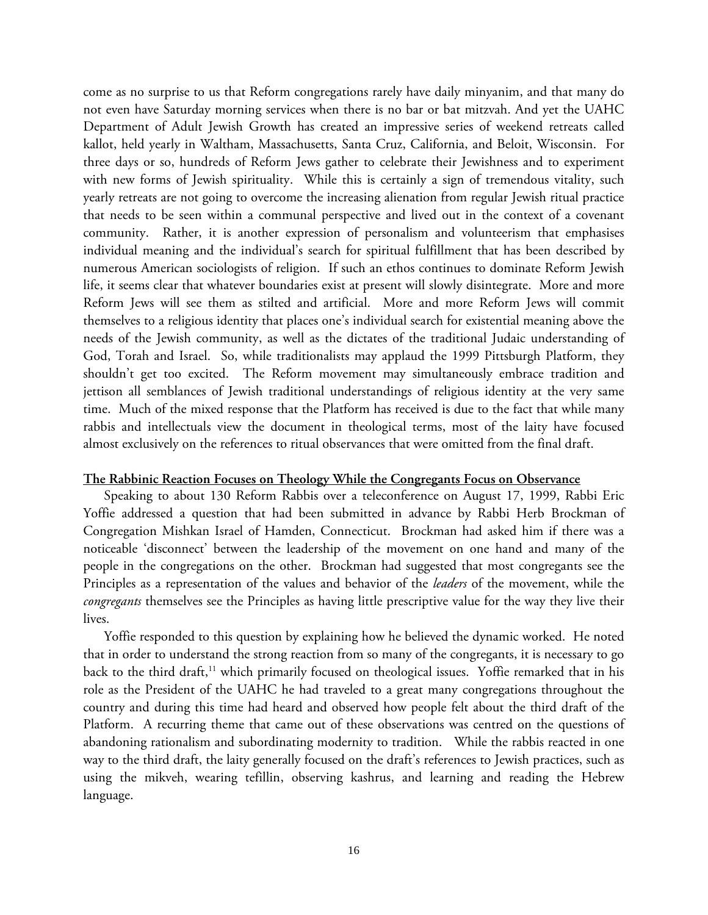come as no surprise to us that Reform congregations rarely have daily minyanim, and that many do not even have Saturday morning services when there is no bar or bat mitzvah. And yet the UAHC Department of Adult Jewish Growth has created an impressive series of weekend retreats called kallot, held yearly in Waltham, Massachusetts, Santa Cruz, California, and Beloit, Wisconsin. For three days or so, hundreds of Reform Jews gather to celebrate their Jewishness and to experiment with new forms of Jewish spirituality. While this is certainly a sign of tremendous vitality, such yearly retreats are not going to overcome the increasing alienation from regular Jewish ritual practice that needs to be seen within a communal perspective and lived out in the context of a covenant community. Rather, it is another expression of personalism and volunteerism that emphasises individual meaning and the individual's search for spiritual fulfillment that has been described by numerous American sociologists of religion. If such an ethos continues to dominate Reform Jewish life, it seems clear that whatever boundaries exist at present will slowly disintegrate. More and more Reform Jews will see them as stilted and artificial. More and more Reform Jews will commit themselves to a religious identity that places one's individual search for existential meaning above the needs of the Jewish community, as well as the dictates of the traditional Judaic understanding of God, Torah and Israel. So, while traditionalists may applaud the 1999 Pittsburgh Platform, they shouldn't get too excited. The Reform movement may simultaneously embrace tradition and jettison all semblances of Jewish traditional understandings of religious identity at the very same time. Much of the mixed response that the Platform has received is due to the fact that while many rabbis and intellectuals view the document in theological terms, most of the laity have focused almost exclusively on the references to ritual observances that were omitted from the final draft.

## **The Rabbinic Reaction Focuses on Theology While the Congregants Focus on Observance**

Speaking to about 130 Reform Rabbis over a teleconference on August 17, 1999, Rabbi Eric Yoffie addressed a question that had been submitted in advance by Rabbi Herb Brockman of Congregation Mishkan Israel of Hamden, Connecticut. Brockman had asked him if there was a noticeable 'disconnect' between the leadership of the movement on one hand and many of the people in the congregations on the other. Brockman had suggested that most congregants see the Principles as a representation of the values and behavior of the *leaders* of the movement, while the *congregants* themselves see the Principles as having little prescriptive value for the way they live their lives.

Yoffie responded to this question by explaining how he believed the dynamic worked. He noted that in order to understand the strong reaction from so many of the congregants, it is necessary to go back to the third draft,<sup>11</sup> which primarily focused on theological issues. Yoffie remarked that in his role as the President of the UAHC he had traveled to a great many congregations throughout the country and during this time had heard and observed how people felt about the third draft of the Platform. A recurring theme that came out of these observations was centred on the questions of abandoning rationalism and subordinating modernity to tradition. While the rabbis reacted in one way to the third draft, the laity generally focused on the draft's references to Jewish practices, such as using the mikveh, wearing tefillin, observing kashrus, and learning and reading the Hebrew language.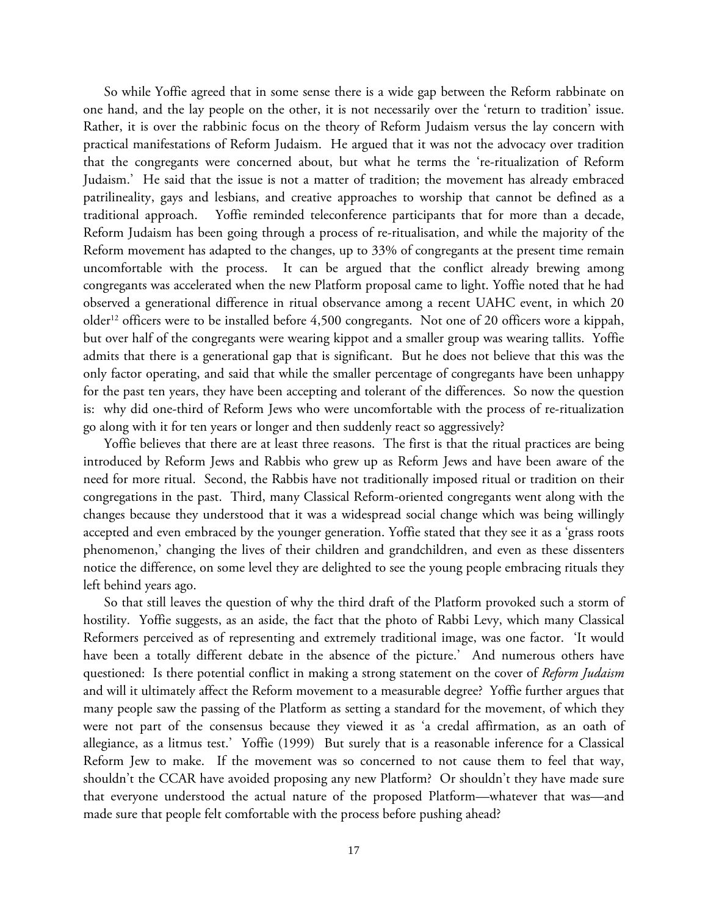So while Yoffie agreed that in some sense there is a wide gap between the Reform rabbinate on one hand, and the lay people on the other, it is not necessarily over the 'return to tradition' issue. Rather, it is over the rabbinic focus on the theory of Reform Judaism versus the lay concern with practical manifestations of Reform Judaism. He argued that it was not the advocacy over tradition that the congregants were concerned about, but what he terms the 're-ritualization of Reform Judaism.' He said that the issue is not a matter of tradition; the movement has already embraced patrilineality, gays and lesbians, and creative approaches to worship that cannot be defined as a traditional approach. Yoffie reminded teleconference participants that for more than a decade, Reform Judaism has been going through a process of re-ritualisation, and while the majority of the Reform movement has adapted to the changes, up to 33% of congregants at the present time remain uncomfortable with the process. It can be argued that the conflict already brewing among congregants was accelerated when the new Platform proposal came to light. Yoffie noted that he had observed a generational difference in ritual observance among a recent UAHC event, in which 20 older<sup>12</sup> officers were to be installed before 4,500 congregants. Not one of 20 officers wore a kippah, but over half of the congregants were wearing kippot and a smaller group was wearing tallits. Yoffie admits that there is a generational gap that is significant. But he does not believe that this was the only factor operating, and said that while the smaller percentage of congregants have been unhappy for the past ten years, they have been accepting and tolerant of the differences. So now the question is: why did one-third of Reform Jews who were uncomfortable with the process of re-ritualization go along with it for ten years or longer and then suddenly react so aggressively?

Yoffie believes that there are at least three reasons. The first is that the ritual practices are being introduced by Reform Jews and Rabbis who grew up as Reform Jews and have been aware of the need for more ritual. Second, the Rabbis have not traditionally imposed ritual or tradition on their congregations in the past. Third, many Classical Reform-oriented congregants went along with the changes because they understood that it was a widespread social change which was being willingly accepted and even embraced by the younger generation. Yoffie stated that they see it as a 'grass roots phenomenon,' changing the lives of their children and grandchildren, and even as these dissenters notice the difference, on some level they are delighted to see the young people embracing rituals they left behind years ago.

So that still leaves the question of why the third draft of the Platform provoked such a storm of hostility. Yoffie suggests, as an aside, the fact that the photo of Rabbi Levy, which many Classical Reformers perceived as of representing and extremely traditional image, was one factor. 'It would have been a totally different debate in the absence of the picture.' And numerous others have questioned: Is there potential conflict in making a strong statement on the cover of *Reform Judaism* and will it ultimately affect the Reform movement to a measurable degree? Yoffie further argues that many people saw the passing of the Platform as setting a standard for the movement, of which they were not part of the consensus because they viewed it as 'a credal affirmation, as an oath of allegiance, as a litmus test.' Yoffie (1999) But surely that is a reasonable inference for a Classical Reform Jew to make. If the movement was so concerned to not cause them to feel that way, shouldn't the CCAR have avoided proposing any new Platform? Or shouldn't they have made sure that everyone understood the actual nature of the proposed Platform—whatever that was—and made sure that people felt comfortable with the process before pushing ahead?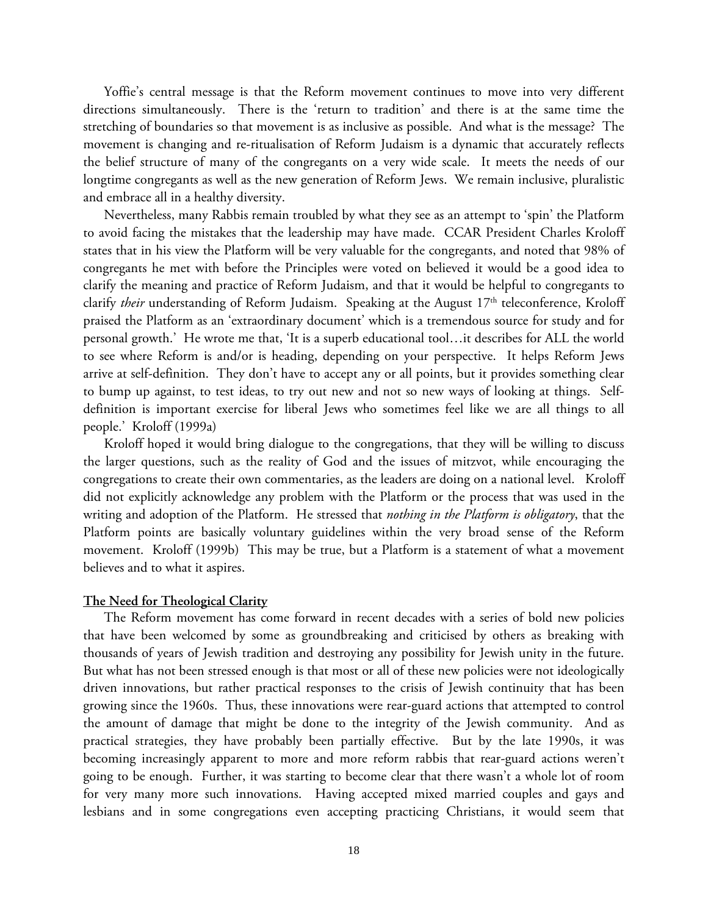Yoffie's central message is that the Reform movement continues to move into very different directions simultaneously. There is the 'return to tradition' and there is at the same time the stretching of boundaries so that movement is as inclusive as possible. And what is the message? The movement is changing and re-ritualisation of Reform Judaism is a dynamic that accurately reflects the belief structure of many of the congregants on a very wide scale. It meets the needs of our longtime congregants as well as the new generation of Reform Jews. We remain inclusive, pluralistic and embrace all in a healthy diversity.

Nevertheless, many Rabbis remain troubled by what they see as an attempt to 'spin' the Platform to avoid facing the mistakes that the leadership may have made. CCAR President Charles Kroloff states that in his view the Platform will be very valuable for the congregants, and noted that 98% of congregants he met with before the Principles were voted on believed it would be a good idea to clarify the meaning and practice of Reform Judaism, and that it would be helpful to congregants to clarify *their* understanding of Reform Judaism. Speaking at the August 17<sup>th</sup> teleconference, Kroloff praised the Platform as an 'extraordinary document' which is a tremendous source for study and for personal growth.' He wrote me that, 'It is a superb educational tool…it describes for ALL the world to see where Reform is and/or is heading, depending on your perspective. It helps Reform Jews arrive at self-definition. They don't have to accept any or all points, but it provides something clear to bump up against, to test ideas, to try out new and not so new ways of looking at things. Selfdefinition is important exercise for liberal Jews who sometimes feel like we are all things to all people.' Kroloff (1999a)

Kroloff hoped it would bring dialogue to the congregations, that they will be willing to discuss the larger questions, such as the reality of God and the issues of mitzvot, while encouraging the congregations to create their own commentaries, as the leaders are doing on a national level. Kroloff did not explicitly acknowledge any problem with the Platform or the process that was used in the writing and adoption of the Platform. He stressed that *nothing in the Platform is obligatory*, that the Platform points are basically voluntary guidelines within the very broad sense of the Reform movement. Kroloff (1999b) This may be true, but a Platform is a statement of what a movement believes and to what it aspires.

#### **The Need for Theological Clarity**

The Reform movement has come forward in recent decades with a series of bold new policies that have been welcomed by some as groundbreaking and criticised by others as breaking with thousands of years of Jewish tradition and destroying any possibility for Jewish unity in the future. But what has not been stressed enough is that most or all of these new policies were not ideologically driven innovations, but rather practical responses to the crisis of Jewish continuity that has been growing since the 1960s. Thus, these innovations were rear-guard actions that attempted to control the amount of damage that might be done to the integrity of the Jewish community. And as practical strategies, they have probably been partially effective. But by the late 1990s, it was becoming increasingly apparent to more and more reform rabbis that rear-guard actions weren't going to be enough. Further, it was starting to become clear that there wasn't a whole lot of room for very many more such innovations. Having accepted mixed married couples and gays and lesbians and in some congregations even accepting practicing Christians, it would seem that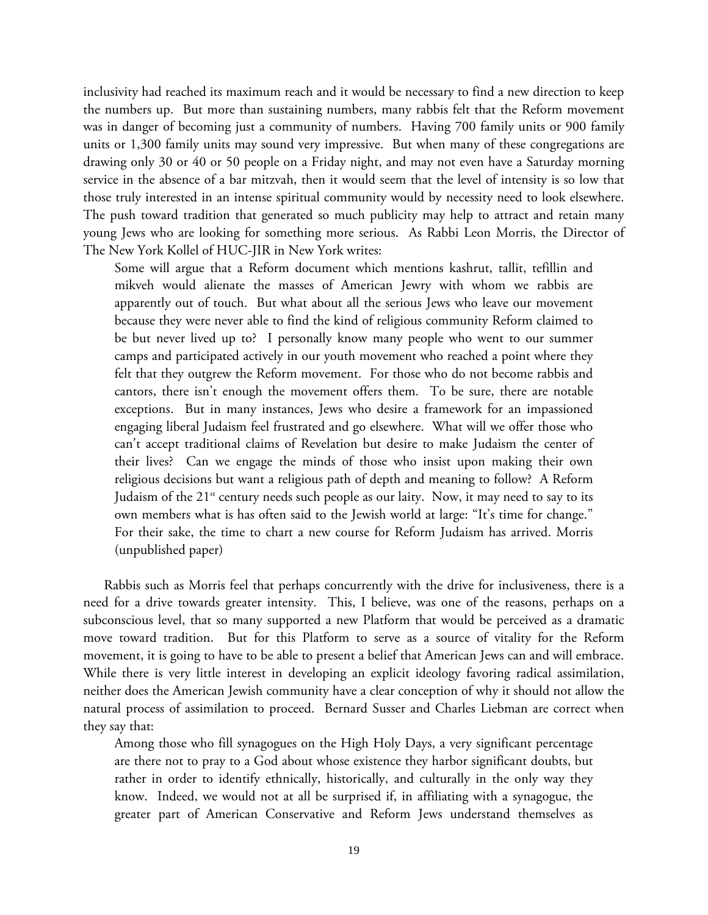inclusivity had reached its maximum reach and it would be necessary to find a new direction to keep the numbers up. But more than sustaining numbers, many rabbis felt that the Reform movement was in danger of becoming just a community of numbers. Having 700 family units or 900 family units or 1,300 family units may sound very impressive. But when many of these congregations are drawing only 30 or 40 or 50 people on a Friday night, and may not even have a Saturday morning service in the absence of a bar mitzvah, then it would seem that the level of intensity is so low that those truly interested in an intense spiritual community would by necessity need to look elsewhere. The push toward tradition that generated so much publicity may help to attract and retain many young Jews who are looking for something more serious. As Rabbi Leon Morris, the Director of The New York Kollel of HUC-JIR in New York writes:

Some will argue that a Reform document which mentions kashrut, tallit, tefillin and mikveh would alienate the masses of American Jewry with whom we rabbis are apparently out of touch. But what about all the serious Jews who leave our movement because they were never able to find the kind of religious community Reform claimed to be but never lived up to? I personally know many people who went to our summer camps and participated actively in our youth movement who reached a point where they felt that they outgrew the Reform movement. For those who do not become rabbis and cantors, there isn't enough the movement offers them. To be sure, there are notable exceptions. But in many instances, Jews who desire a framework for an impassioned engaging liberal Judaism feel frustrated and go elsewhere. What will we offer those who can't accept traditional claims of Revelation but desire to make Judaism the center of their lives? Can we engage the minds of those who insist upon making their own religious decisions but want a religious path of depth and meaning to follow? A Reform Judaism of the  $21^{st}$  century needs such people as our laity. Now, it may need to say to its own members what is has often said to the Jewish world at large: "It's time for change." For their sake, the time to chart a new course for Reform Judaism has arrived. Morris (unpublished paper)

Rabbis such as Morris feel that perhaps concurrently with the drive for inclusiveness, there is a need for a drive towards greater intensity. This, I believe, was one of the reasons, perhaps on a subconscious level, that so many supported a new Platform that would be perceived as a dramatic move toward tradition. But for this Platform to serve as a source of vitality for the Reform movement, it is going to have to be able to present a belief that American Jews can and will embrace. While there is very little interest in developing an explicit ideology favoring radical assimilation, neither does the American Jewish community have a clear conception of why it should not allow the natural process of assimilation to proceed. Bernard Susser and Charles Liebman are correct when they say that:

Among those who fill synagogues on the High Holy Days, a very significant percentage are there not to pray to a God about whose existence they harbor significant doubts, but rather in order to identify ethnically, historically, and culturally in the only way they know. Indeed, we would not at all be surprised if, in affiliating with a synagogue, the greater part of American Conservative and Reform Jews understand themselves as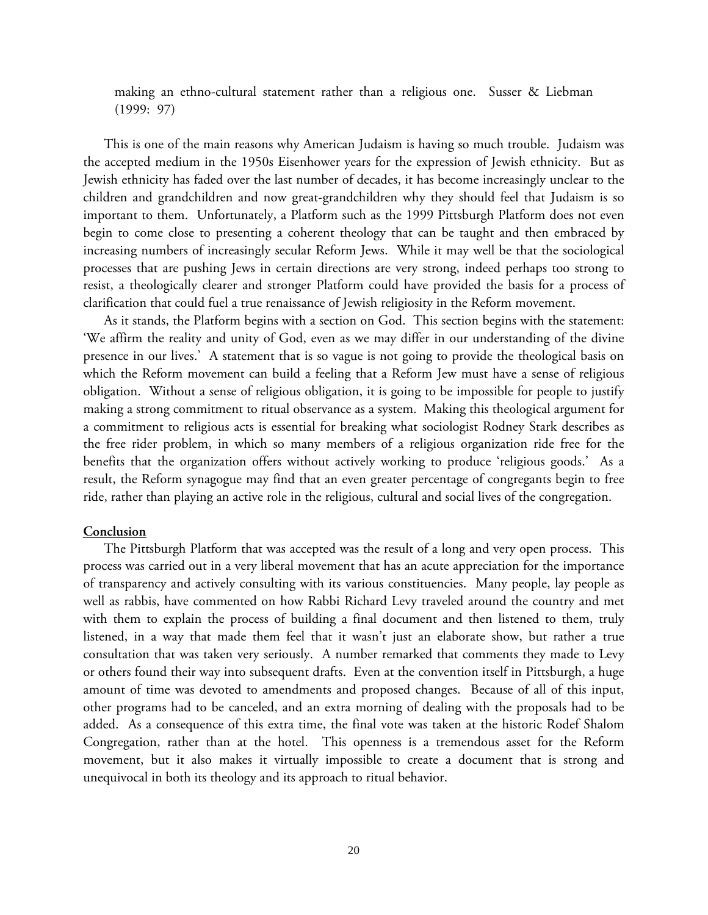making an ethno-cultural statement rather than a religious one. Susser & Liebman (1999: 97)

This is one of the main reasons why American Judaism is having so much trouble. Judaism was the accepted medium in the 1950s Eisenhower years for the expression of Jewish ethnicity. But as Jewish ethnicity has faded over the last number of decades, it has become increasingly unclear to the children and grandchildren and now great-grandchildren why they should feel that Judaism is so important to them. Unfortunately, a Platform such as the 1999 Pittsburgh Platform does not even begin to come close to presenting a coherent theology that can be taught and then embraced by increasing numbers of increasingly secular Reform Jews. While it may well be that the sociological processes that are pushing Jews in certain directions are very strong, indeed perhaps too strong to resist, a theologically clearer and stronger Platform could have provided the basis for a process of clarification that could fuel a true renaissance of Jewish religiosity in the Reform movement.

As it stands, the Platform begins with a section on God. This section begins with the statement: 'We affirm the reality and unity of God, even as we may differ in our understanding of the divine presence in our lives.' A statement that is so vague is not going to provide the theological basis on which the Reform movement can build a feeling that a Reform Jew must have a sense of religious obligation. Without a sense of religious obligation, it is going to be impossible for people to justify making a strong commitment to ritual observance as a system. Making this theological argument for a commitment to religious acts is essential for breaking what sociologist Rodney Stark describes as the free rider problem, in which so many members of a religious organization ride free for the benefits that the organization offers without actively working to produce 'religious goods.' As a result, the Reform synagogue may find that an even greater percentage of congregants begin to free ride, rather than playing an active role in the religious, cultural and social lives of the congregation.

#### **Conclusion**

The Pittsburgh Platform that was accepted was the result of a long and very open process. This process was carried out in a very liberal movement that has an acute appreciation for the importance of transparency and actively consulting with its various constituencies. Many people, lay people as well as rabbis, have commented on how Rabbi Richard Levy traveled around the country and met with them to explain the process of building a final document and then listened to them, truly listened, in a way that made them feel that it wasn't just an elaborate show, but rather a true consultation that was taken very seriously. A number remarked that comments they made to Levy or others found their way into subsequent drafts. Even at the convention itself in Pittsburgh, a huge amount of time was devoted to amendments and proposed changes. Because of all of this input, other programs had to be canceled, and an extra morning of dealing with the proposals had to be added. As a consequence of this extra time, the final vote was taken at the historic Rodef Shalom Congregation, rather than at the hotel. This openness is a tremendous asset for the Reform movement, but it also makes it virtually impossible to create a document that is strong and unequivocal in both its theology and its approach to ritual behavior.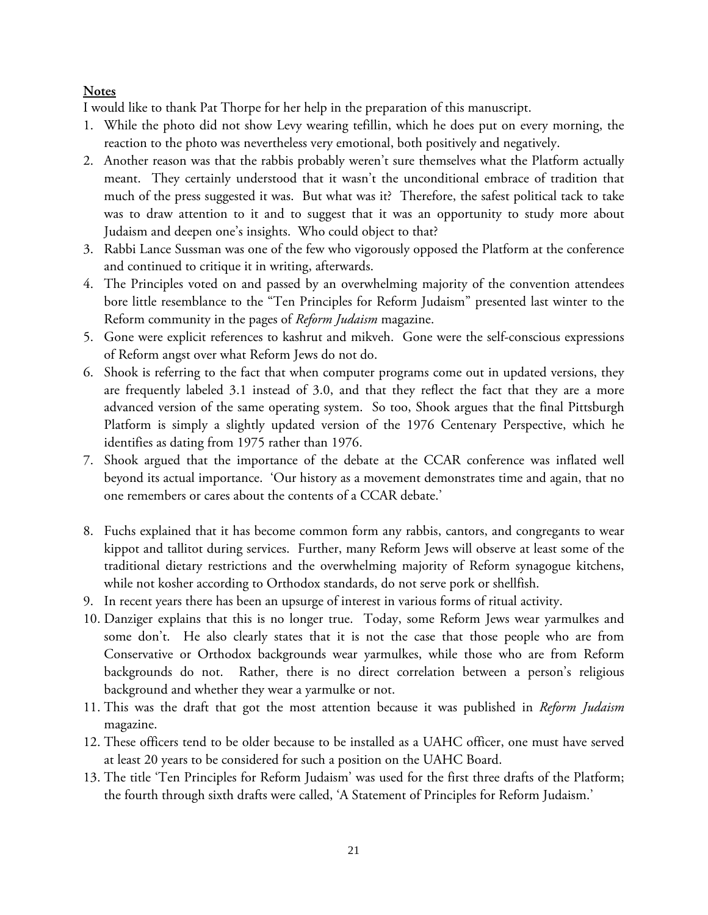# **Notes**

I would like to thank Pat Thorpe for her help in the preparation of this manuscript.

- 1. While the photo did not show Levy wearing tefillin, which he does put on every morning, the reaction to the photo was nevertheless very emotional, both positively and negatively.
- 2. Another reason was that the rabbis probably weren't sure themselves what the Platform actually meant. They certainly understood that it wasn't the unconditional embrace of tradition that much of the press suggested it was. But what was it? Therefore, the safest political tack to take was to draw attention to it and to suggest that it was an opportunity to study more about Judaism and deepen one's insights. Who could object to that?
- 3. Rabbi Lance Sussman was one of the few who vigorously opposed the Platform at the conference and continued to critique it in writing, afterwards.
- 4. The Principles voted on and passed by an overwhelming majority of the convention attendees bore little resemblance to the "Ten Principles for Reform Judaism" presented last winter to the Reform community in the pages of *Reform Judaism* magazine.
- 5. Gone were explicit references to kashrut and mikveh. Gone were the self-conscious expressions of Reform angst over what Reform Jews do not do.
- 6. Shook is referring to the fact that when computer programs come out in updated versions, they are frequently labeled 3.1 instead of 3.0, and that they reflect the fact that they are a more advanced version of the same operating system. So too, Shook argues that the final Pittsburgh Platform is simply a slightly updated version of the 1976 Centenary Perspective, which he identifies as dating from 1975 rather than 1976.
- 7. Shook argued that the importance of the debate at the CCAR conference was inflated well beyond its actual importance. 'Our history as a movement demonstrates time and again, that no one remembers or cares about the contents of a CCAR debate.'
- 8. Fuchs explained that it has become common form any rabbis, cantors, and congregants to wear kippot and tallitot during services. Further, many Reform Jews will observe at least some of the traditional dietary restrictions and the overwhelming majority of Reform synagogue kitchens, while not kosher according to Orthodox standards, do not serve pork or shellfish.
- 9. In recent years there has been an upsurge of interest in various forms of ritual activity.
- 10. Danziger explains that this is no longer true. Today, some Reform Jews wear yarmulkes and some don't. He also clearly states that it is not the case that those people who are from Conservative or Orthodox backgrounds wear yarmulkes, while those who are from Reform backgrounds do not. Rather, there is no direct correlation between a person's religious background and whether they wear a yarmulke or not.
- 11. This was the draft that got the most attention because it was published in *Reform Judaism* magazine.
- 12. These officers tend to be older because to be installed as a UAHC officer, one must have served at least 20 years to be considered for such a position on the UAHC Board.
- 13. The title 'Ten Principles for Reform Judaism' was used for the first three drafts of the Platform; the fourth through sixth drafts were called, 'A Statement of Principles for Reform Judaism.'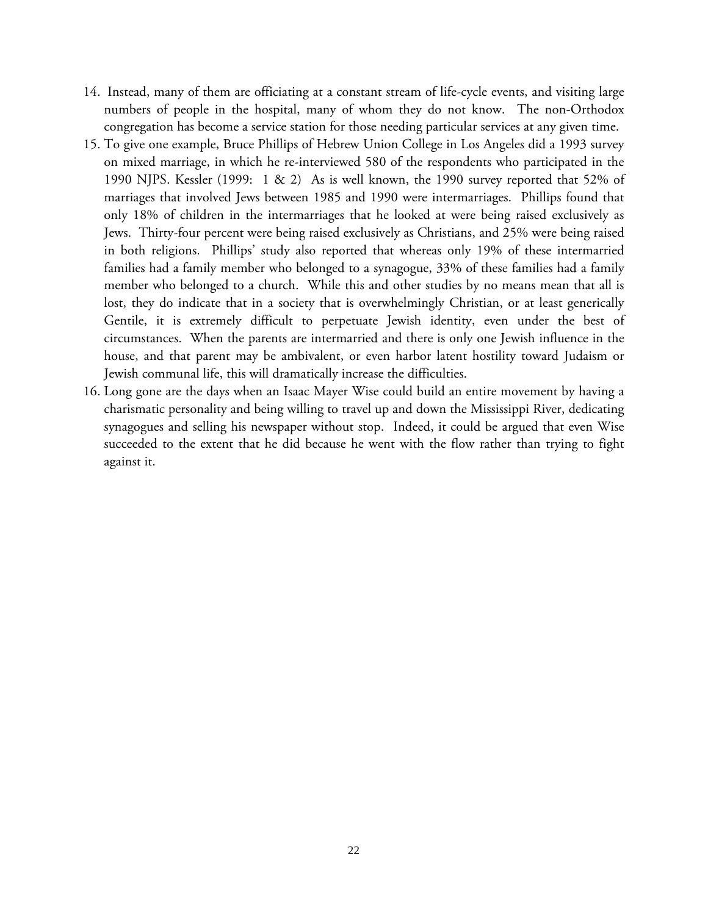- 14. Instead, many of them are officiating at a constant stream of life-cycle events, and visiting large numbers of people in the hospital, many of whom they do not know. The non-Orthodox congregation has become a service station for those needing particular services at any given time.
- 15. To give one example, Bruce Phillips of Hebrew Union College in Los Angeles did a 1993 survey on mixed marriage, in which he re-interviewed 580 of the respondents who participated in the 1990 NJPS. Kessler (1999: 1 & 2) As is well known, the 1990 survey reported that 52% of marriages that involved Jews between 1985 and 1990 were intermarriages. Phillips found that only 18% of children in the intermarriages that he looked at were being raised exclusively as Jews. Thirty-four percent were being raised exclusively as Christians, and 25% were being raised in both religions. Phillips' study also reported that whereas only 19% of these intermarried families had a family member who belonged to a synagogue, 33% of these families had a family member who belonged to a church. While this and other studies by no means mean that all is lost, they do indicate that in a society that is overwhelmingly Christian, or at least generically Gentile, it is extremely difficult to perpetuate Jewish identity, even under the best of circumstances. When the parents are intermarried and there is only one Jewish influence in the house, and that parent may be ambivalent, or even harbor latent hostility toward Judaism or Jewish communal life, this will dramatically increase the difficulties.
- 16. Long gone are the days when an Isaac Mayer Wise could build an entire movement by having a charismatic personality and being willing to travel up and down the Mississippi River, dedicating synagogues and selling his newspaper without stop. Indeed, it could be argued that even Wise succeeded to the extent that he did because he went with the flow rather than trying to fight against it.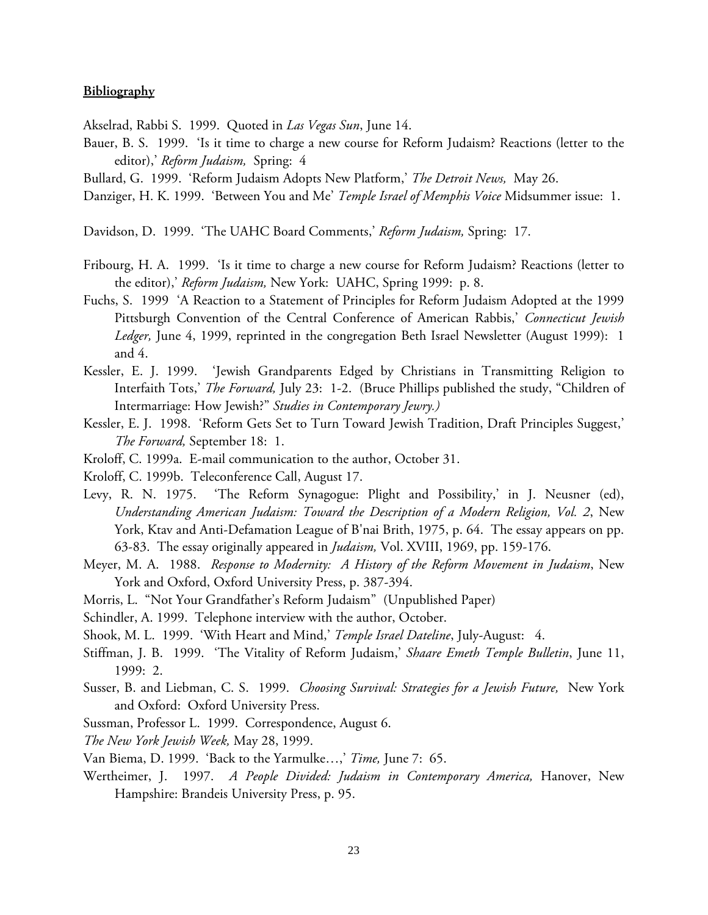## **Bibliography**

Akselrad, Rabbi S. 1999. Quoted in *Las Vegas Sun*, June 14.

- Bauer, B. S. 1999. 'Is it time to charge a new course for Reform Judaism? Reactions (letter to the editor),' *Reform Judaism,* Spring: 4
- Bullard, G. 1999. 'Reform Judaism Adopts New Platform,' *The Detroit News,* May 26.
- Danziger, H. K. 1999. 'Between You and Me' *Temple Israel of Memphis Voice* Midsummer issue: 1.

Davidson, D. 1999. 'The UAHC Board Comments,' *Reform Judaism,* Spring: 17.

- Fribourg, H. A. 1999. 'Is it time to charge a new course for Reform Judaism? Reactions (letter to the editor),' *Reform Judaism,* New York: UAHC, Spring 1999: p. 8.
- Fuchs, S. 1999 'A Reaction to a Statement of Principles for Reform Judaism Adopted at the 1999 Pittsburgh Convention of the Central Conference of American Rabbis,' *Connecticut Jewish Ledger,* June 4, 1999, reprinted in the congregation Beth Israel Newsletter (August 1999): 1 and 4.
- Kessler, E. J. 1999. 'Jewish Grandparents Edged by Christians in Transmitting Religion to Interfaith Tots,' *The Forward,* July 23: 1-2. (Bruce Phillips published the study, "Children of Intermarriage: How Jewish?" *Studies in Contemporary Jewry.)*
- Kessler, E. J. 1998. 'Reform Gets Set to Turn Toward Jewish Tradition, Draft Principles Suggest,' *The Forward,* September 18: 1.
- Kroloff, C. 1999a. E-mail communication to the author, October 31.
- Kroloff, C. 1999b. Teleconference Call, August 17.
- Levy, R. N. 1975. 'The Reform Synagogue: Plight and Possibility,' in J. Neusner (ed), *Understanding American Judaism: Toward the Description of a Modern Religion, Vol. 2*, New York, Ktav and Anti-Defamation League of B'nai Brith, 1975, p. 64. The essay appears on pp. 63-83. The essay originally appeared in *Judaism,* Vol. XVIII, 1969, pp. 159-176.
- Meyer, M. A. 1988. *Response to Modernity: A History of the Reform Movement in Judaism*, New York and Oxford, Oxford University Press, p. 387-394.
- Morris, L. "Not Your Grandfather's Reform Judaism" (Unpublished Paper)
- Schindler, A. 1999. Telephone interview with the author, October.
- Shook, M. L. 1999. 'With Heart and Mind,' *Temple Israel Dateline*, July-August: 4.
- Stiffman, J. B. 1999. 'The Vitality of Reform Judaism,' *Shaare Emeth Temple Bulletin*, June 11, 1999: 2.
- Susser, B. and Liebman, C. S. 1999. *Choosing Survival: Strategies for a Jewish Future,* New York and Oxford: Oxford University Press.
- Sussman, Professor L. 1999. Correspondence, August 6.
- *The New York Jewish Week,* May 28, 1999.
- Van Biema, D. 1999. 'Back to the Yarmulke…,' *Time,* June 7: 65.
- Wertheimer, J. 1997. *A People Divided: Judaism in Contemporary America,* Hanover, New Hampshire: Brandeis University Press, p. 95.